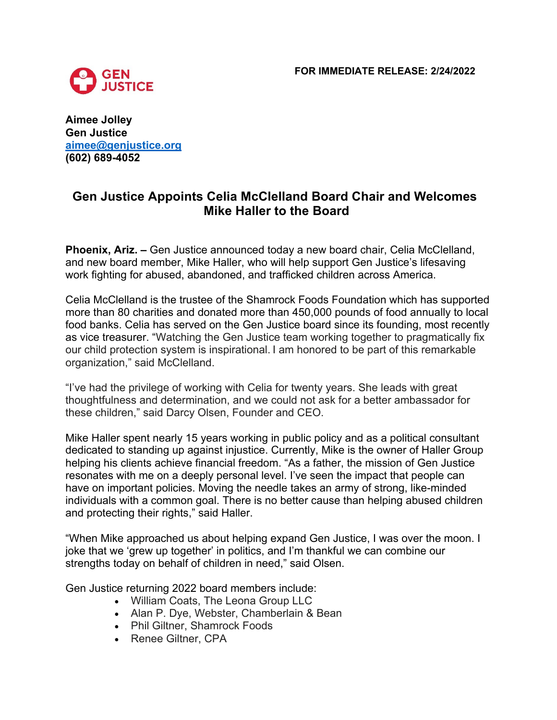

**Aimee Jolley Gen Justice aimee@genjustice.org (602) 689-4052**

## **Gen Justice Appoints Celia McClelland Board Chair and Welcomes Mike Haller to the Board**

**Phoenix, Ariz. –** Gen Justice announced today a new board chair, Celia McClelland, and new board member, Mike Haller, who will help support Gen Justice's lifesaving work fighting for abused, abandoned, and trafficked children across America.

Celia McClelland is the trustee of the Shamrock Foods Foundation which has supported more than 80 charities and donated more than 450,000 pounds of food annually to local food banks. Celia has served on the Gen Justice board since its founding, most recently as vice treasurer. "Watching the Gen Justice team working together to pragmatically fix our child protection system is inspirational. I am honored to be part of this remarkable organization," said McClelland.

"I've had the privilege of working with Celia for twenty years. She leads with great thoughtfulness and determination, and we could not ask for a better ambassador for these children," said Darcy Olsen, Founder and CEO.

Mike Haller spent nearly 15 years working in public policy and as a political consultant dedicated to standing up against injustice. Currently, Mike is the owner of Haller Group helping his clients achieve financial freedom. "As a father, the mission of Gen Justice resonates with me on a deeply personal level. I've seen the impact that people can have on important policies. Moving the needle takes an army of strong, like-minded individuals with a common goal. There is no better cause than helping abused children and protecting their rights," said Haller.

"When Mike approached us about helping expand Gen Justice, I was over the moon. I joke that we 'grew up together' in politics, and I'm thankful we can combine our strengths today on behalf of children in need," said Olsen.

Gen Justice returning 2022 board members include:

- William Coats, The Leona Group LLC
- Alan P. Dye, Webster, Chamberlain & Bean
- Phil Giltner, Shamrock Foods
- Renee Giltner, CPA